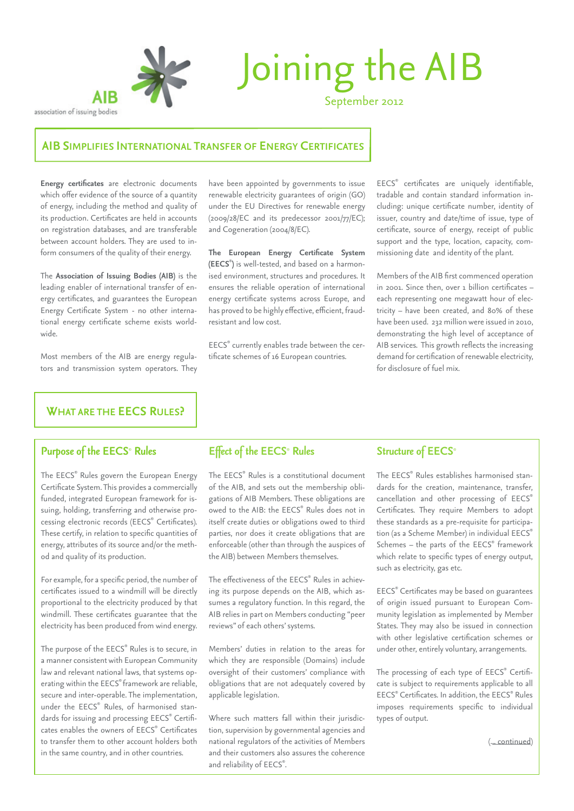

#### association of issuing bodies

# Joining the AIB

September 2012

#### **AIB simplifies international transfer of energy certificates**

**Energy certificates** are electronic documents which offer evidence of the source of a quantity of energy, including the method and quality of its production. Certificates are held in accounts on registration databases, and are transferable between account holders. They are used to inform consumers of the quality of their energy.

The **Association of Issuing Bodies (AIB)** is the leading enabler of international transfer of energy certificates, and guarantees the European Energy Certificate System - no other international energy certificate scheme exists worldwide.

Most members of the AIB are energy regulators and transmission system operators. They have been appointed by governments to issue renewable electricity guarantees of origin (GO) under the EU Directives for renewable energy (2009/28/EC and its predecessor 2001/77/EC); and Cogeneration (2004/8/EC).

**The European Energy Certificate System (EECS**® **)** is well-tested, and based on a harmonised environment, structures and procedures. It ensures the reliable operation of international energy certificate systems across Europe, and has proved to be highly effective, efficient, fraudresistant and low cost.

EECS® currently enables trade between the certificate schemes of 16 European countries.

EECS® certificates are uniquely identifiable, tradable and contain standard information including: unique certificate number, identity of issuer, country and date/time of issue, type of certificate, source of energy, receipt of public support and the type, location, capacity, commissioning date and identity of the plant.

Members of the AIB first commenced operation in 2001. Since then, over 1 billion certificates – each representing one megawatt hour of electricity – have been created, and 80% of these have been used. 232 million were issued in 2010, demonstrating the high level of acceptance of AIB services. This growth reflects the increasing demand for certification of renewable electricity, for disclosure of fuel mix.

# **What are the EECS Rules?**

## *Purpose of the EECS*®  *Rules*

The EECS® Rules govern the European Energy Certificate System. This provides a commercially funded, integrated European framework for issuing, holding, transferring and otherwise processing electronic records (EECS® Certificates). These certify, in relation to specific quantities of energy, attributes of its source and/or the method and quality of its production.

For example, for a specific period, the number of certificates issued to a windmill will be directly proportional to the electricity produced by that windmill. These certificates guarantee that the electricity has been produced from wind energy.

The purpose of the EECS® Rules is to secure, in a manner consistent with European Community law and relevant national laws, that systems operating within the EECS® framework are reliable, secure and inter-operable. The implementation, under the EECS® Rules, of harmonised standards for issuing and processing EECS® Certificates enables the owners of EECS® Certificates to transfer them to other account holders both in the same country, and in other countries.

## *Effect of the EECS*®  *Rules*

The EECS® Rules is a constitutional document of the AIB, and sets out the membership obligations of AIB Members. These obligations are owed to the AIB: the EECS® Rules does not in itself create duties or obligations owed to third parties, nor does it create obligations that are enforceable (other than through the auspices of the AIB) between Members themselves.

The effectiveness of the EECS® Rules in achieving its purpose depends on the AIB, which assumes a regulatory function. In this regard, the AIB relies in part on Members conducting "peer reviews" of each others' systems.

Members' duties in relation to the areas for which they are responsible (Domains) include oversight of their customers' compliance with obligations that are not adequately covered by applicable legislation.

Where such matters fall within their jurisdiction, supervision by governmental agencies and national regulators of the activities of Members and their customers also assures the coherence and reliability of EECS®.

#### **Structure of EECS®**

The EECS® Rules establishes harmonised standards for the creation, maintenance, transfer, cancellation and other processing of EECS® Certificates. They require Members to adopt these standards as a pre-requisite for participation (as a Scheme Member) in individual EECS® Schemes - the parts of the EECS® framework which relate to specific types of energy output, such as electricity, gas etc.

EECS® Certificates may be based on guarantees of origin issued pursuant to European Community legislation as implemented by Member States. They may also be issued in connection with other legislative certification schemes or under other, entirely voluntary, arrangements.

The processing of each type of EECS® Certificate is subject to requirements applicable to all EECS® Certificates. In addition, the EECS® Rules imposes requirements specific to individual types of output.

[\(... continued\)](#page-2-0)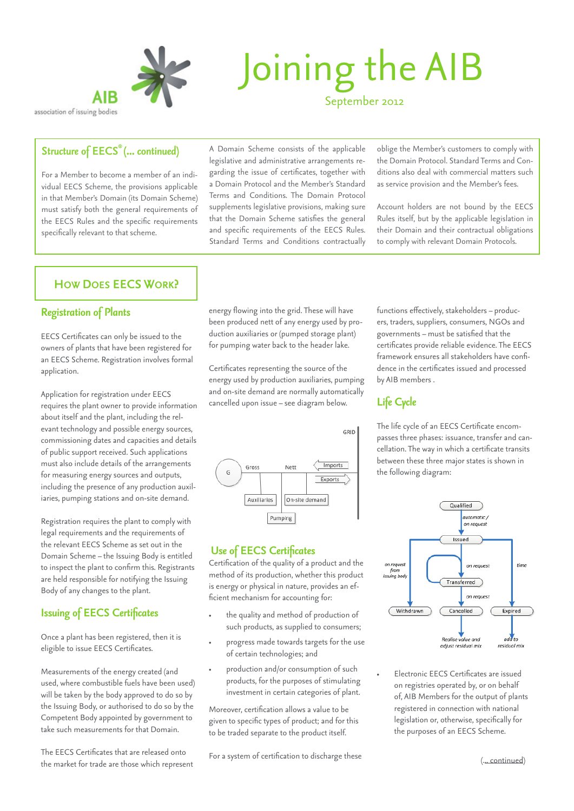

# Joining the AIB September 2012

association of issuing bodies

#### *Structure of EECS® (... continued)*

For a Member to become a member of an individual EECS Scheme, the provisions applicable in that Member's Domain (its Domain Scheme) must satisfy both the general requirements of the EECS Rules and the specific requirements specifically relevant to that scheme.

#### A Domain Scheme consists of the applicable legislative and administrative arrangements regarding the issue of certificates, together with a Domain Protocol and the Member's Standard Terms and Conditions. The Domain Protocol supplements legislative provisions, making sure that the Domain Scheme satisfies the general and specific requirements of the EECS Rules. Standard Terms and Conditions contractually

oblige the Member's customers to comply with the Domain Protocol. Standard Terms and Conditions also deal with commercial matters such as service provision and the Member's fees.

Account holders are not bound by the EECS Rules itself, but by the applicable legislation in their Domain and their contractual obligations to comply with relevant Domain Protocols.

## **How does EECS work?**

#### *Registration of Plants*

EECS Certificates can only be issued to the owners of plants that have been registered for an EECS Scheme. Registration involves formal application.

Application for registration under EECS requires the plant owner to provide information about itself and the plant, including the relevant technology and possible energy sources, commissioning dates and capacities and details of public support received. Such applications must also include details of the arrangements for measuring energy sources and outputs, including the presence of any production auxiliaries, pumping stations and on-site demand.

Registration requires the plant to comply with legal requirements and the requirements of the relevant EECS Scheme as set out in the Domain Scheme – the Issuing Body is entitled to inspect the plant to confirm this. Registrants are held responsible for notifying the Issuing Body of any changes to the plant.

## *Issuing of EECS Certificates*

Once a plant has been registered, then it is eligible to issue EECS Certificates.

Measurements of the energy created (and used, where combustible fuels have been used) will be taken by the body approved to do so by the Issuing Body, or authorised to do so by the Competent Body appointed by government to take such measurements for that Domain.

The EECS Certificates that are released onto the market for trade are those which represent energy flowing into the grid. These will have been produced nett of any energy used by production auxiliaries or (pumped storage plant) for pumping water back to the header lake.

Certificates representing the source of the energy used by production auxiliaries, pumping and on-site demand are normally automatically cancelled upon issue – see diagram below.



#### *Use of EECS Certificates*

Certification of the quality of a product and the method of its production, whether this product is energy or physical in nature, provides an efficient mechanism for accounting for:

- the quality and method of production of such products, as supplied to consumers;
- progress made towards targets for the use of certain technologies; and
- production and/or consumption of such products, for the purposes of stimulating investment in certain categories of plant.

Moreover, certification allows a value to be given to specific types of product; and for this to be traded separate to the product itself.

For a system of certification to discharge these

functions effectively, stakeholders – producers, traders, suppliers, consumers, NGOs and governments – must be satisfied that the certificates provide reliable evidence. The EECS framework ensures all stakeholders have confidence in the certificates issued and processed by AIB members .

# *Life Cycle*

The life cycle of an EECS Certificate encompasses three phases: issuance, transfer and cancellation. The way in which a certificate transits between these three major states is shown in the following diagram:



• Electronic EECS Certificates are issued on registries operated by, or on behalf of, AIB Members for the output of plants registered in connection with national legislation or, otherwise, specifically for the purposes of an EECS Scheme.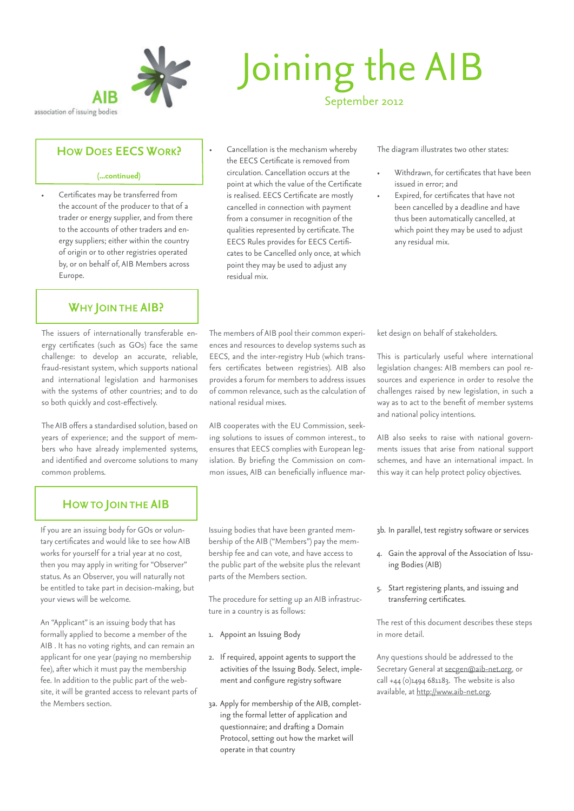<span id="page-2-0"></span>

#### **How does EECS work?**

#### **(...continued)**

• Certificates may be transferred from the account of the producer to that of a trader or energy supplier, and from there to the accounts of other traders and energy suppliers; either within the country of origin or to other registries operated by, or on behalf of, AIB Members across Europe.

# **Why join the AIB?**

The issuers of internationally transferable energy certificates (such as GOs) face the same challenge: to develop an accurate, reliable, fraud-resistant system, which supports national and international legislation and harmonises with the systems of other countries; and to do so both quickly and cost-effectively.

The AIB offers a standardised solution, based on years of experience; and the support of members who have already implemented systems, and identified and overcome solutions to many common problems.

# Joining the AIB September 2012

• Cancellation is the mechanism whereby the EECS Certificate is removed from circulation. Cancellation occurs at the point at which the value of the Certificate is realised. EECS Certificate are mostly cancelled in connection with payment from a consumer in recognition of the qualities represented by certificate. The EECS Rules provides for EECS Certificates to be Cancelled only once, at which point they may be used to adjust any residual mix.

The diagram illustrates two other states:

- Withdrawn, for certificates that have been issued in error; and
- Expired, for certificates that have not been cancelled by a deadline and have thus been automatically cancelled, at which point they may be used to adjust any residual mix.

The members of AIB pool their common experiences and resources to develop systems such as EECS, and the inter-registry Hub (which transfers certificates between registries). AIB also provides a forum for members to address issues of common relevance, such as the calculation of national residual mixes.

AIB cooperates with the EU Commission, seeking solutions to issues of common interest., to ensures that EECS complies with European legislation. By briefing the Commission on common issues, AIB can beneficially influence market design on behalf of stakeholders.

This is particularly useful where international legislation changes: AIB members can pool resources and experience in order to resolve the challenges raised by new legislation, in such a way as to act to the benefit of member systems and national policy intentions.

AIB also seeks to raise with national governments issues that arise from national support schemes, and have an international impact. In this way it can help protect policy objectives.

# **How to join the AIB**

If you are an issuing body for GOs or voluntary certificates and would like to see how AIB works for yourself for a trial year at no cost, then you may apply in writing for "Observer" status. As an Observer, you will naturally not be entitled to take part in decision-making, but your views will be welcome.

An "Applicant" is an issuing body that has formally applied to become a member of the AIB . It has no voting rights, and can remain an applicant for one year (paying no membership fee), after which it must pay the membership fee. In addition to the public part of the website, it will be granted access to relevant parts of the Members section.

Issuing bodies that have been granted membership of the AIB ("Members") pay the membership fee and can vote, and have access to the public part of the website plus the relevant parts of the Members section.

The procedure for setting up an AIB infrastructure in a country is as follows:

- 1. Appoint an Issuing Body
- 2. If required, appoint agents to support the activities of the Issuing Body. Select, implement and configure registry software
- 3a. Apply for membership of the AIB, completing the formal letter of application and questionnaire; and drafting a Domain Protocol, setting out how the market will operate in that country

3b. In parallel, test registry software or services

- 4. Gain the approval of the Association of Issuing Bodies (AIB)
- 5. Start registering plants, and issuing and transferring certificates.

The rest of this document describes these steps in more detail.

Any questions should be addressed to the Secretary General at [secgen@aib-net.org](mailto:secgen%40aib-net.org?subject=Joining%20AIB), or call +44 (0)1494 681183. The website is also available, at<http://www.aib-net.org>.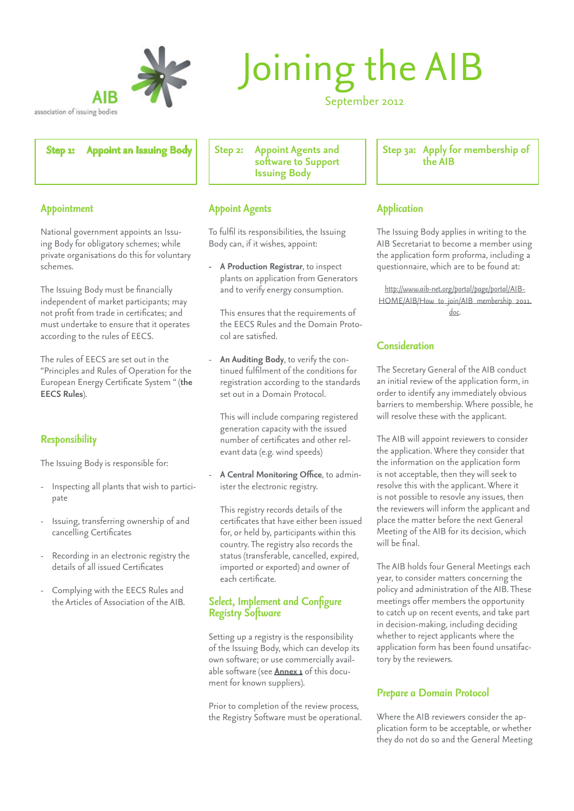<span id="page-3-0"></span>

# Joining the AIB

September 2012

**Step 1: Appoint an Issuing Body** | Step 2: Appoint Agents and

**software to Support Issuing Body**

## *Appoint Agents*

To fulfil its responsibilities, the Issuing Body can, if it wishes, appoint:

**- A Production Registrar**, to inspect plants on application from Generators and to verify energy consumption.

This ensures that the requirements of the EECS Rules and the Domain Protocol are satisfied.

- **An Auditing Body**, to verify the continued fulfilment of the conditions for registration according to the standards set out in a Domain Protocol.

This will include comparing registered generation capacity with the issued number of certificates and other relevant data (e.g. wind speeds)

- **A Central Monitoring Office**, to administer the electronic registry.

This registry records details of the certificates that have either been issued for, or held by, participants within this country. The registry also records the status (transferable, cancelled, expired, imported or exported) and owner of each certificate.

#### *Select, Implement and Configure Registry Software*

Setting up a registry is the responsibility of the Issuing Body, which can develop its own software; or use commercially available software (see **Annex 1** of this document for known suppliers).

Prior to completion of the review process, the Registry Software must be operational. **Step 3a: Apply for membership of the AIB**

## *Application*

The Issuing Body applies in writing to the AIB Secretariat to become a member using the application form proforma, including a questionnaire, which are to be found at:

*[http://www.aib-net.org/portal/page/portal/AIB-](http://http://www.aib-net.org/portal/page/portal/AIB-HOME/AIB/How_to_join/AIB_membership_2011.doc)[HOME/AIB/How\\_to\\_join/AIB\\_membership\\_2011.](http://http://www.aib-net.org/portal/page/portal/AIB-HOME/AIB/How_to_join/AIB_membership_2011.doc) [doc.](http://http://www.aib-net.org/portal/page/portal/AIB-HOME/AIB/How_to_join/AIB_membership_2011.doc)*

## *Consideration*

The Secretary General of the AIB conduct an initial review of the application form, in order to identify any immediately obvious barriers to membership. Where possible, he will resolve these with the applicant.

The AIB will appoint reviewers to consider the application. Where they consider that the information on the application form is not acceptable, then they will seek to resolve this with the applicant. Where it is not possible to resovle any issues, then the reviewers will inform the applicant and place the matter before the next General Meeting of the AIB for its decision, which will be final.

The AIB holds four General Meetings each year, to consider matters concerning the policy and administration of the AIB. These meetings offer members the opportunity to catch up on recent events, and take part in decision-making, including deciding whether to reject applicants where the application form has been found unsatifactory by the reviewers.

## *Prepare a Domain Protocol*

Where the AIB reviewers consider the application form to be acceptable, or whether they do not do so and the General Meeting

#### *Appointment*

National government appoints an Issuing Body for obligatory schemes; while private organisations do this for voluntary schemes.

The Issuing Body must be financially independent of market participants; may not profit from trade in certificates; and must undertake to ensure that it operates according to the rules of EECS.

The rules of EECS are set out in the "Principles and Rules of Operation for the European Energy Certificate System " (**the EECS Rules**).

## *Responsibility*

The Issuing Body is responsible for:

- Inspecting all plants that wish to participate
- Issuing, transferring ownership of and cancelling Certificates
- Recording in an electronic registry the details of all issued Certificates
- Complying with the EECS Rules and the Articles of Association of the AIB.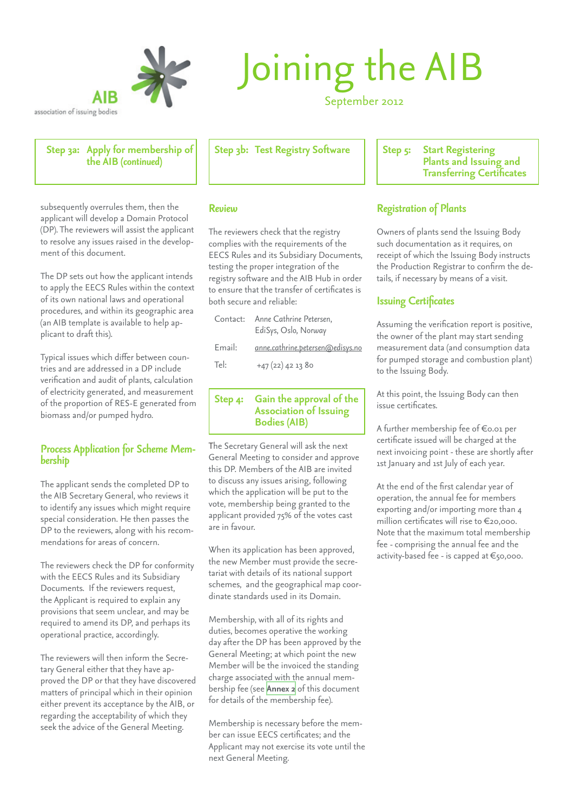

# Joining the AIB

September 2012

**Step 3a: Apply for membership of the AIB** *(continued)*

subsequently overrules them, then the applicant will develop a Domain Protocol (DP). The reviewers will assist the applicant to resolve any issues raised in the development of this document.

The DP sets out how the applicant intends to apply the EECS Rules within the context of its own national laws and operational procedures, and within its geographic area (an AIB template is available to help applicant to draft this).

Typical issues which differ between countries and are addressed in a DP include verification and audit of plants, calculation of electricity generated, and measurement of the proportion of RES-E generated from biomass and/or pumped hydro.

# *Process Application for Scheme Mem- bership*

The applicant sends the completed DP to the AIB Secretary General, who reviews it to identify any issues which might require special consideration. He then passes the DP to the reviewers, along with his recommendations for areas of concern.

The reviewers check the DP for conformity with the EECS Rules and its Subsidiary Documents. If the reviewers request, the Applicant is required to explain any provisions that seem unclear, and may be required to amend its DP, and perhaps its operational practice, accordingly.

The reviewers will then inform the Secretary General either that they have approved the DP or that they have discovered matters of principal which in their opinion either prevent its acceptance by the AIB, or regarding the acceptability of which they seek the advice of the General Meeting.

Step 3b: Test Registry Software | | Step 5: Start Registering

#### *Review*

The reviewers check that the registry complies with the requirements of the EECS Rules and its Subsidiary Documents, testing the proper integration of the registry software and the AIB Hub in order to ensure that the transfer of certificates is both secure and reliable:

| Contact: | Anne Cathrine Petersen,<br>EdiSys, Oslo, Norway |
|----------|-------------------------------------------------|
| Email:   | anne.cathrine.petersen@edisys.no                |
| Tel:     | $+47(22)$ 42 1380                               |

#### **Step 4: Gain the approval of the Association of Issuing Bodies (AIB)**

The Secretary General will ask the next General Meeting to consider and approve this DP. Members of the AIB are invited to discuss any issues arising, following which the application will be put to the vote, membership being granted to the applicant provided 75% of the votes cast are in favour.

When its application has been approved, the new Member must provide the secretariat with details of its national support schemes, and the geographical map coordinate standards used in its Domain.

Membership, with all of its rights and duties, becomes operative the working day after the DP has been approved by the General Meeting; at which point the new Member will be the invoiced the standing charge associated with the annual membership fee (see **Annex 2** of this document for details of the membership fee).

Membership is necessary before the member can issue EECS certificates; and the Applicant may not exercise its vote until the next General Meeting.

**Plants and Issuing and Transferring Certificates**

## *Registration of Plants*

Owners of plants send the Issuing Body such documentation as it requires, on receipt of which the Issuing Body instructs the Production Registrar to confirm the details, if necessary by means of a visit.

## *Issuing Certificates*

Assuming the verification report is positive, the owner of the plant may start sending measurement data (and consumption data for pumped storage and combustion plant) to the Issuing Body.

At this point, the Issuing Body can then issue certificates.

A further membership fee of €0.01 per certificate issued will be charged at the next invoicing point - these are shortly after 1st January and 1st July of each year.

At the end of the first calendar year of operation, the annual fee for members exporting and/or importing more than 4 million certificates will rise to €20,000. Note that the maximum total membership fee - comprising the annual fee and the activity-based fee - is capped at €50,000.